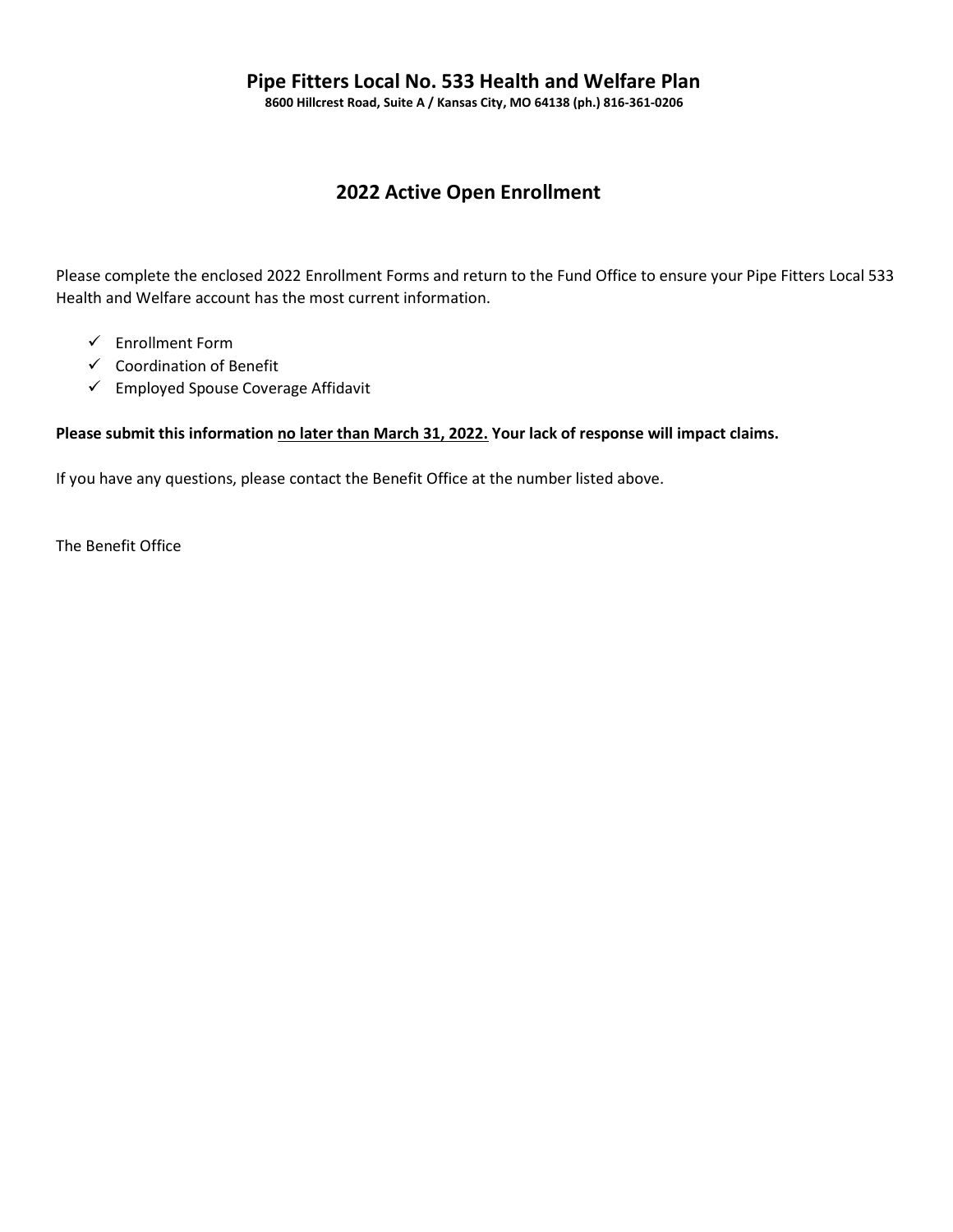## Pipe Fitters Local No. 533 Health and Welfare Plan

8600 Hillcrest Road, Suite A / Kansas City, MO 64138 (ph.) 816-361-0206

## 2022 Active Open Enrollment

Please complete the enclosed 2022 Enrollment Forms and return to the Fund Office to ensure your Pipe Fitters Local 533 Health and Welfare account has the most current information.

- $\checkmark$  Enrollment Form
- $\checkmark$  Coordination of Benefit
- $\checkmark$  Employed Spouse Coverage Affidavit

#### Please submit this information no later than March 31, 2022. Your lack of response will impact claims.

If you have any questions, please contact the Benefit Office at the number listed above.

The Benefit Office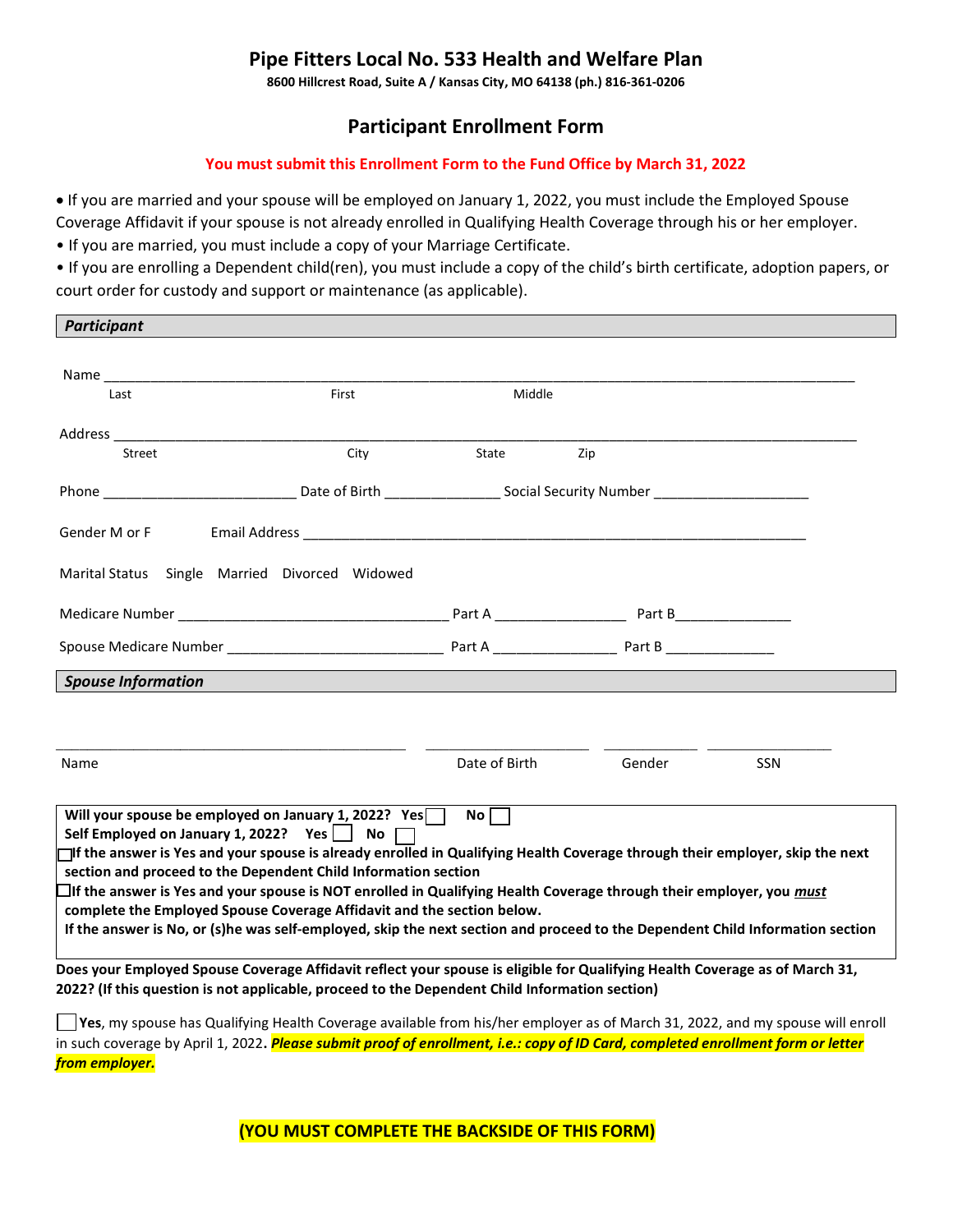## Pipe Fitters Local No. 533 Health and Welfare Plan

8600 Hillcrest Road, Suite A / Kansas City, MO 64138 (ph.) 816-361-0206

## Participant Enrollment Form

#### You must submit this Enrollment Form to the Fund Office by March 31, 2022

 If you are married and your spouse will be employed on January 1, 2022, you must include the Employed Spouse Coverage Affidavit if your spouse is not already enrolled in Qualifying Health Coverage through his or her employer.

• If you are married, you must include a copy of your Marriage Certificate.

**Darticipant** 

• If you are enrolling a Dependent child(ren), you must include a copy of the child's birth certificate, adoption papers, or court order for custody and support or maintenance (as applicable).

| r un titipunt                                                                                                                                                                                                                                                                                                                                                                                                                                                                                                                                                                                                                                              |       |               |        |     |  |
|------------------------------------------------------------------------------------------------------------------------------------------------------------------------------------------------------------------------------------------------------------------------------------------------------------------------------------------------------------------------------------------------------------------------------------------------------------------------------------------------------------------------------------------------------------------------------------------------------------------------------------------------------------|-------|---------------|--------|-----|--|
|                                                                                                                                                                                                                                                                                                                                                                                                                                                                                                                                                                                                                                                            |       |               |        |     |  |
| Last                                                                                                                                                                                                                                                                                                                                                                                                                                                                                                                                                                                                                                                       | First | Middle        |        |     |  |
| Address ______________                                                                                                                                                                                                                                                                                                                                                                                                                                                                                                                                                                                                                                     |       |               |        |     |  |
| Street                                                                                                                                                                                                                                                                                                                                                                                                                                                                                                                                                                                                                                                     | City  | State         | Zip    |     |  |
|                                                                                                                                                                                                                                                                                                                                                                                                                                                                                                                                                                                                                                                            |       |               |        |     |  |
| Gender M or F                                                                                                                                                                                                                                                                                                                                                                                                                                                                                                                                                                                                                                              |       |               |        |     |  |
| Marital Status Single Married Divorced Widowed                                                                                                                                                                                                                                                                                                                                                                                                                                                                                                                                                                                                             |       |               |        |     |  |
|                                                                                                                                                                                                                                                                                                                                                                                                                                                                                                                                                                                                                                                            |       |               |        |     |  |
|                                                                                                                                                                                                                                                                                                                                                                                                                                                                                                                                                                                                                                                            |       |               |        |     |  |
| <b>Spouse Information</b>                                                                                                                                                                                                                                                                                                                                                                                                                                                                                                                                                                                                                                  |       |               |        |     |  |
|                                                                                                                                                                                                                                                                                                                                                                                                                                                                                                                                                                                                                                                            |       |               |        |     |  |
|                                                                                                                                                                                                                                                                                                                                                                                                                                                                                                                                                                                                                                                            |       |               |        |     |  |
| Name                                                                                                                                                                                                                                                                                                                                                                                                                                                                                                                                                                                                                                                       |       | Date of Birth | Gender | SSN |  |
| Will your spouse be employed on January 1, 2022? Yes $\Box$<br>$No \Box$<br>Self Employed on January 1, 2022? Yes No<br>□If the answer is Yes and your spouse is already enrolled in Qualifying Health Coverage through their employer, skip the next<br>section and proceed to the Dependent Child Information section<br>□If the answer is Yes and your spouse is NOT enrolled in Qualifying Health Coverage through their employer, you must<br>complete the Employed Spouse Coverage Affidavit and the section below.<br>If the answer is No, or (s)he was self-employed, skip the next section and proceed to the Dependent Child Information section |       |               |        |     |  |
| Does your Employed Spouse Coverage Affidavit reflect your spouse is eligible for Qualifying Health Coverage as of March 31,<br>2022? (If this question is not applicable, proceed to the Dependent Child Information section)                                                                                                                                                                                                                                                                                                                                                                                                                              |       |               |        |     |  |
| Yes, my spouse has Qualifying Health Coverage available from his/her employer as of March 31, 2022, and my spouse will enroll                                                                                                                                                                                                                                                                                                                                                                                                                                                                                                                              |       |               |        |     |  |

in such coverage by April 1, 2022. Please submit proof of enrollment, i.e.: copy of ID Card, completed enrollment form or letter from employer.

(YOU MUST COMPLETE THE BACKSIDE OF THIS FORM)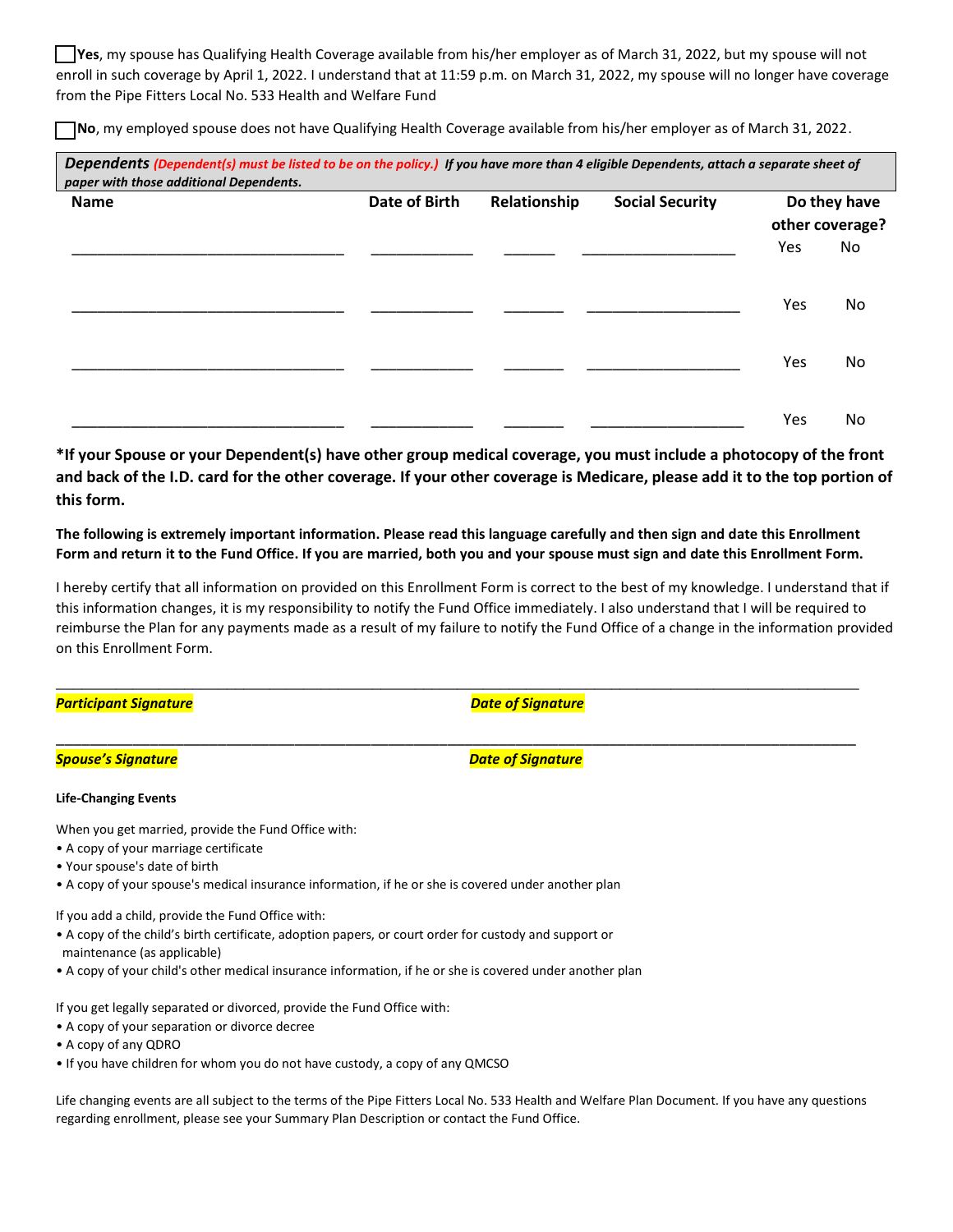Yes, my spouse has Qualifying Health Coverage available from his/her employer as of March 31, 2022, but my spouse will not enroll in such coverage by April 1, 2022. I understand that at 11:59 p.m. on March 31, 2022, my spouse will no longer have coverage from the Pipe Fitters Local No. 533 Health and Welfare Fund

No, my employed spouse does not have Qualifying Health Coverage available from his/her employer as of March 31, 2022.

| paper with those additional Dependents.<br><b>Name</b> | <b>Date of Birth</b> | Relationship | <b>Social Security</b> |     | Do they have<br>other coverage? |
|--------------------------------------------------------|----------------------|--------------|------------------------|-----|---------------------------------|
|                                                        |                      |              |                        | Yes | No                              |
|                                                        |                      |              |                        | Yes | No                              |
|                                                        |                      |              |                        | Yes | No                              |
|                                                        |                      |              |                        | Yes | No                              |

\*If your Spouse or your Dependent(s) have other group medical coverage, you must include a photocopy of the front and back of the I.D. card for the other coverage. If your other coverage is Medicare, please add it to the top portion of this form.

The following is extremely important information. Please read this language carefully and then sign and date this Enrollment Form and return it to the Fund Office. If you are married, both you and your spouse must sign and date this Enrollment Form.

I hereby certify that all information on provided on this Enrollment Form is correct to the best of my knowledge. I understand that if this information changes, it is my responsibility to notify the Fund Office immediately. I also understand that I will be required to reimburse the Plan for any payments made as a result of my failure to notify the Fund Office of a change in the information provided on this Enrollment Form.

\_\_\_\_\_\_\_\_\_\_\_\_\_\_\_\_\_\_\_\_\_\_\_\_\_\_\_\_\_\_\_\_\_\_\_\_\_\_\_\_\_\_\_\_\_\_\_\_\_\_\_\_\_\_\_\_\_\_\_\_\_\_\_\_\_\_\_\_\_\_\_\_\_\_\_\_\_\_\_\_\_\_\_\_\_\_\_\_\_\_\_\_\_\_

\_\_\_\_\_\_\_\_\_\_\_\_\_\_\_\_\_\_\_\_\_\_\_\_\_\_\_\_\_\_\_\_\_\_\_\_\_\_\_\_\_\_\_\_\_\_\_\_\_\_\_\_\_\_\_\_\_\_\_\_\_\_\_\_\_\_\_\_\_\_\_\_\_\_\_\_\_\_\_\_\_\_\_\_\_\_\_\_\_\_\_\_\_\_

Participant Signature **Date of Signature** of Signature Date of Signature

#### Spouse's Signature **Date of Signature** of Signature Date of Signature

#### Life-Changing Events

When you get married, provide the Fund Office with:

- A copy of your marriage certificate
- Your spouse's date of birth
- A copy of your spouse's medical insurance information, if he or she is covered under another plan

If you add a child, provide the Fund Office with:

- A copy of the child's birth certificate, adoption papers, or court order for custody and support or maintenance (as applicable)
- A copy of your child's other medical insurance information, if he or she is covered under another plan

If you get legally separated or divorced, provide the Fund Office with:

- A copy of your separation or divorce decree
- A copy of any QDRO
- If you have children for whom you do not have custody, a copy of any QMCSO

Life changing events are all subject to the terms of the Pipe Fitters Local No. 533 Health and Welfare Plan Document. If you have any questions regarding enrollment, please see your Summary Plan Description or contact the Fund Office.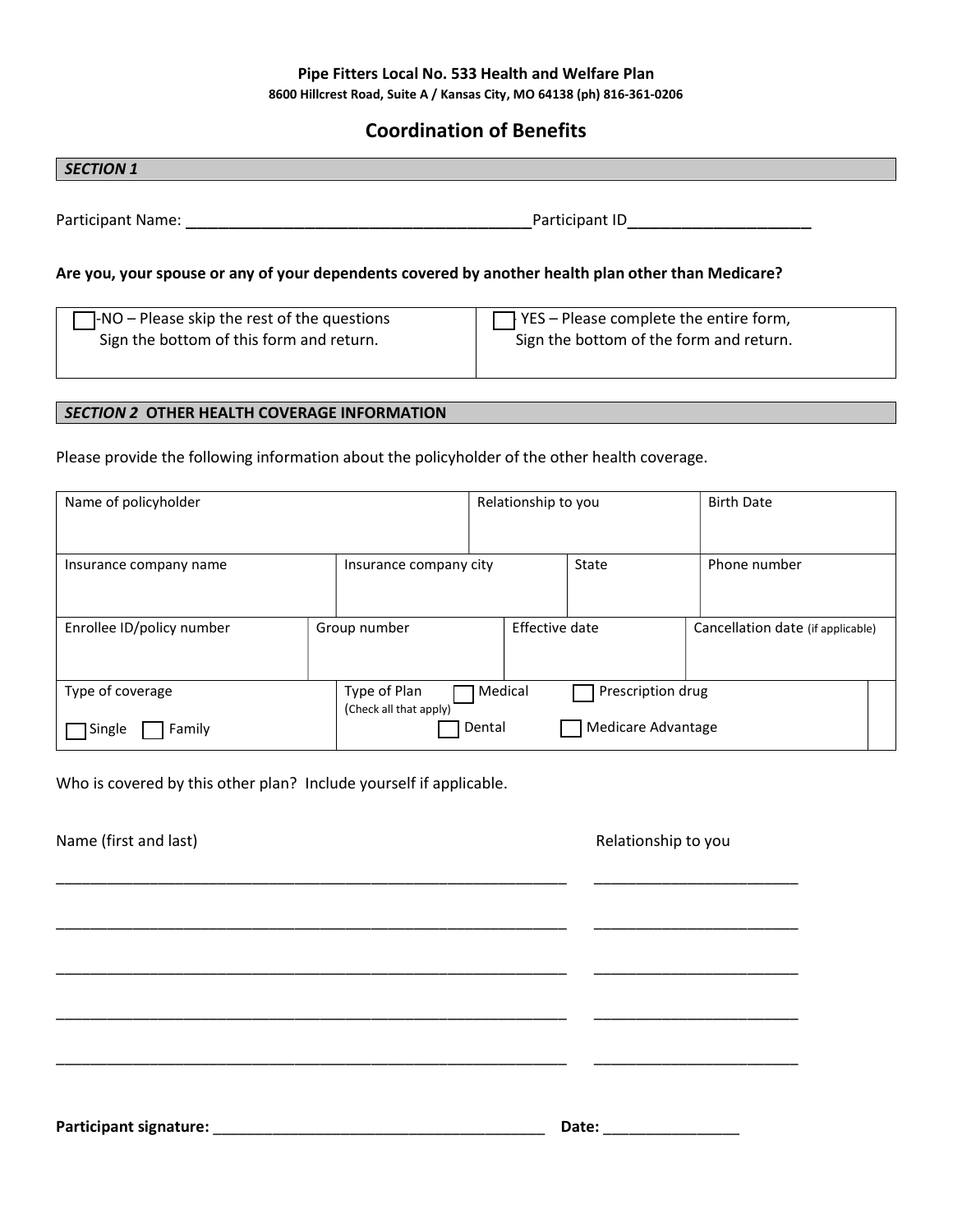#### Pipe Fitters Local No. 533 Health and Welfare Plan 8600 Hillcrest Road, Suite A / Kansas City, MO 64138 (ph) 816-361-0206

### Coordination of Benefits

## SECTION 1 Participant Name: etc. and the set of the set of the Participant ID Are you, your spouse or any of your dependents covered by another health plan other than Medicare?  $\Box$ -NO – Please skip the rest of the questions Sign the bottom of this form and return.  $\Box$  YES – Please complete the entire form, Sign the bottom of the form and return.

#### SECTION 2 OTHER HEALTH COVERAGE INFORMATION

Please provide the following information about the policyholder of the other health coverage.

| Name of policyholder      |                                        | Relationship to you          | <b>Birth Date</b>                 |
|---------------------------|----------------------------------------|------------------------------|-----------------------------------|
| Insurance company name    | Insurance company city                 | State                        | Phone number                      |
| Enrollee ID/policy number | Group number                           | Effective date               | Cancellation date (if applicable) |
| Type of coverage          | Type of Plan<br>(Check all that apply) | Prescription drug<br>Medical |                                   |
| Single<br>Family          |                                        | Medicare Advantage<br>Dental |                                   |

Who is covered by this other plan? Include yourself if applicable.

| Name (first and last) | Relationship to you                                                                                                                                                                                                            |
|-----------------------|--------------------------------------------------------------------------------------------------------------------------------------------------------------------------------------------------------------------------------|
|                       |                                                                                                                                                                                                                                |
|                       |                                                                                                                                                                                                                                |
|                       |                                                                                                                                                                                                                                |
|                       |                                                                                                                                                                                                                                |
|                       |                                                                                                                                                                                                                                |
|                       |                                                                                                                                                                                                                                |
|                       | Date: the contract of the contract of the contract of the contract of the contract of the contract of the contract of the contract of the contract of the contract of the contract of the contract of the contract of the cont |